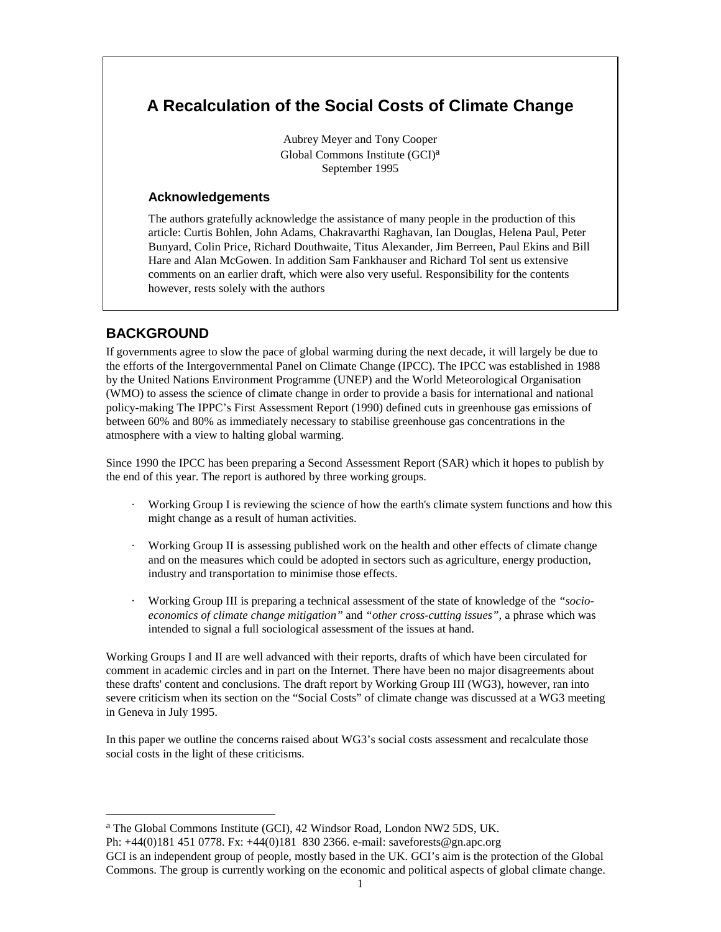# **A Recalculation of the Social Costs of Climate Change**

Aubrey Meyer and Tony Cooper Global Commons Institute (GCI)a September 1995

### **Acknowledgements**

 The authors gratefully acknowledge the assistance of many people in the production of this article: Curtis Bohlen, John Adams, Chakravarthi Raghavan, Ian Douglas, Helena Paul, Peter Bunyard, Colin Price, Richard Douthwaite, Titus Alexander, Jim Berreen, Paul Ekins and Bill Hare and Alan McGowen. In addition Sam Fankhauser and Richard Tol sent us extensive comments on an earlier draft, which were also very useful. Responsibility for the contents however, rests solely with the authors

## **BACKGROUND**

 $\overline{a}$ 

If governments agree to slow the pace of global warming during the next decade, it will largely be due to the efforts of the Intergovernmental Panel on Climate Change (IPCC). The IPCC was established in 1988 by the United Nations Environment Programme (UNEP) and the World Meteorological Organisation (WMO) to assess the science of climate change in order to provide a basis for international and national policy-making The IPPC's First Assessment Report (1990) defined cuts in greenhouse gas emissions of between 60% and 80% as immediately necessary to stabilise greenhouse gas concentrations in the atmosphere with a view to halting global warming.

Since 1990 the IPCC has been preparing a Second Assessment Report (SAR) which it hopes to publish by the end of this year. The report is authored by three working groups.

- · Working Group I is reviewing the science of how the earth's climate system functions and how this might change as a result of human activities.
- Working Group II is assessing published work on the health and other effects of climate change and on the measures which could be adopted in sectors such as agriculture, energy production, industry and transportation to minimise those effects.
- · Working Group III is preparing a technical assessment of the state of knowledge of the *"socioeconomics of climate change mitigation"* and *"other cross-cutting issues",* a phrase which was intended to signal a full sociological assessment of the issues at hand.

Working Groups I and II are well advanced with their reports, drafts of which have been circulated for comment in academic circles and in part on the Internet. There have been no major disagreements about these drafts' content and conclusions. The draft report by Working Group III (WG3), however, ran into severe criticism when its section on the "Social Costs" of climate change was discussed at a WG3 meeting in Geneva in July 1995.

In this paper we outline the concerns raised about WG3's social costs assessment and recalculate those social costs in the light of these criticisms.

a The Global Commons Institute (GCI), 42 Windsor Road, London NW2 5DS, UK.

Ph: +44(0)181 451 0778. Fx: +44(0)181 830 2366. e-mail: saveforests@gn.apc.org

GCI is an independent group of people, mostly based in the UK. GCI's aim is the protection of the Global Commons. The group is currently working on the economic and political aspects of global climate change.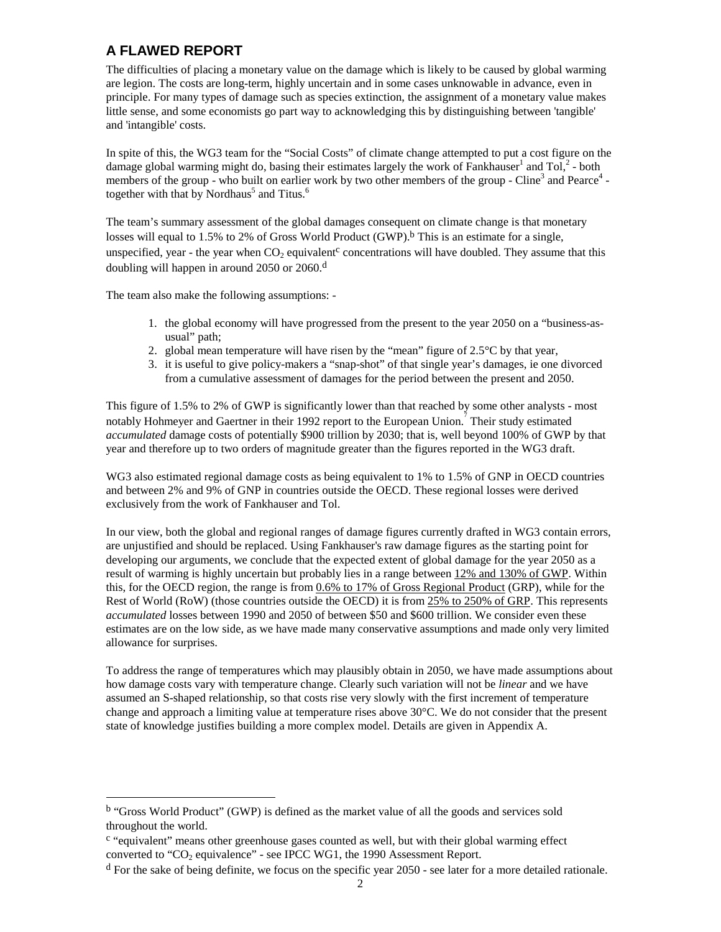# **A FLAWED REPORT**

The difficulties of placing a monetary value on the damage which is likely to be caused by global warming are legion. The costs are long-term, highly uncertain and in some cases unknowable in advance, even in principle. For many types of damage such as species extinction, the assignment of a monetary value makes little sense, and some economists go part way to acknowledging this by distinguishing between 'tangible' and 'intangible' costs.

In spite of this, the WG3 team for the "Social Costs" of climate change attempted to put a cost figure on the damage global warming might do, basing their estimates largely the work of Fankhauser<sup>1</sup> and Tol,<sup>2</sup> - both members of the group - who built on earlier work by two other members of the group - [Cl](#page-17-0)ine<sup>3</sup> and [P](#page-17-0)earce<sup>4</sup> together with that by Nordhaus<sup>5</sup> and Titus.<sup>6</sup>

The team's summary assessment of the global damages consequent on climate change is that monetary losses will equal to 1.5% to 2% of Gross World Product (GWP).<sup>b</sup> This is an estimate for a single, unspecified, year - the year when  $CO<sub>2</sub>$  equivalent<sup>c</sup> concentrations will have doubled. They assume that this doubling will happen in around 2050 or 2060.d

The team also make the following assumptions: -

 $\overline{\phantom{a}}$ 

- 1. the global economy will have progressed from the present to the year 2050 on a "business-asusual" path;
- 2. global mean temperature will have risen by the "mean" figure of  $2.5^{\circ}$ C by that year,
- 3. it is useful to give policy-makers a "snap-shot" of that single year's damages, ie one divorced from a cumulative assessment of damages for the period between the present and 2050.

This figure of 1.5% to 2% of GWP is significantly lower than that reached by some other analysts - most notably Hohmeyer and Gaertner in their 1992 report to the European Union.<sup>7</sup> Their study estimated *accumulated* damage costs of potentially \$900 trillion by 2030; that is, well [be](#page-17-0)yond 100% of GWP by that year and therefore up to two orders of magnitude greater than the figures reported in the WG3 draft.

WG3 also estimated regional damage costs as being equivalent to 1% to 1.5% of GNP in OECD countries and between 2% and 9% of GNP in countries outside the OECD. These regional losses were derived exclusively from the work of Fankhauser and Tol.

In our view, both the global and regional ranges of damage figures currently drafted in WG3 contain errors, are unjustified and should be replaced. Using Fankhauser's raw damage figures as the starting point for developing our arguments, we conclude that the expected extent of global damage for the year 2050 as a result of warming is highly uncertain but probably lies in a range between  $12\%$  and  $130\%$  of GWP. Within this, for the OECD region, the range is from 0.6% to 17% of Gross Regional Product (GRP), while for the Rest of World (RoW) (those countries outside the OECD) it is from 25% to 250% of GRP. This represents *accumulated* losses between 1990 and 2050 of between \$50 and \$600 trillion. We consider even these estimates are on the low side, as we have made many conservative assumptions and made only very limited allowance for surprises.

To address the range of temperatures which may plausibly obtain in 2050, we have made assumptions about how damage costs vary with temperature change. Clearly such variation will not be *linear* and we have assumed an S-shaped relationship, so that costs rise very slowly with the first increment of temperature change and approach a limiting value at temperature rises above  $30^{\circ}$ C. We do not consider that the present state of knowledge justifies building a more complex model. Details are given in Appendix A.

b "Gross World Product" (GWP) is defined as the market value of all the goods and services sold throughout the world.

c "equivalent" means other greenhouse gases counted as well, but with their global warming effect converted to " $CO<sub>2</sub>$  equivalence" - see IPCC WG1, the 1990 Assessment Report.

 $d$  For the sake of being definite, we focus on the specific year 2050 - see later for a more detailed rationale.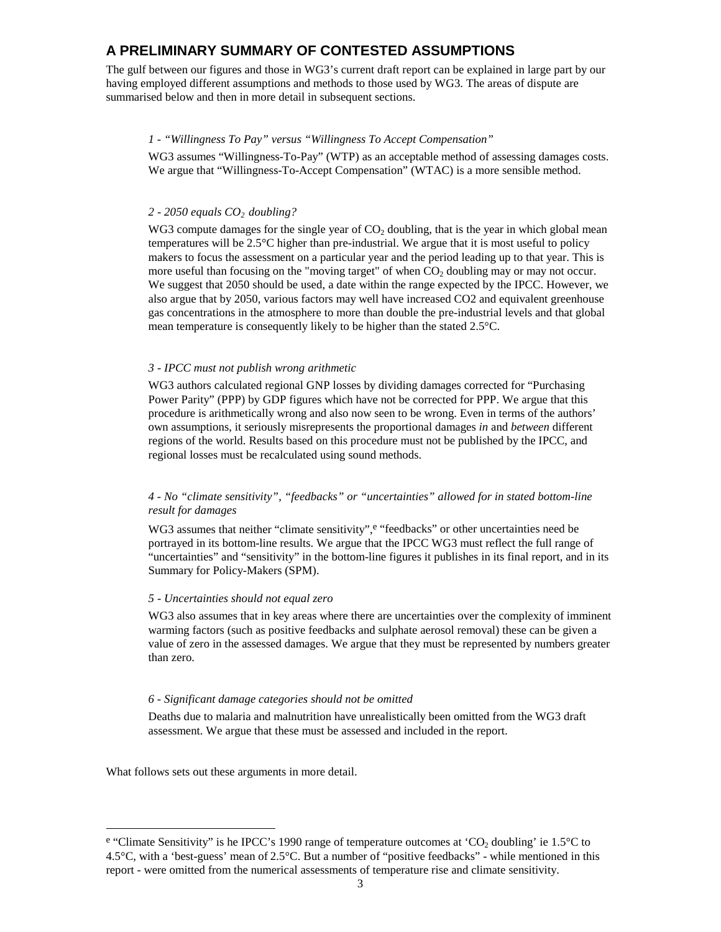### **A PRELIMINARY SUMMARY OF CONTESTED ASSUMPTIONS**

The gulf between our figures and those in WG3's current draft report can be explained in large part by our having employed different assumptions and methods to those used by WG3. The areas of dispute are summarised below and then in more detail in subsequent sections.

#### *1 - "Willingness To Pay" versus "Willingness To Accept Compensation"*

WG3 assumes "Willingness-To-Pay" (WTP) as an acceptable method of assessing damages costs. We argue that "Willingness-To-Accept Compensation" (WTAC) is a more sensible method.

#### *2 - 2050 equals CO2 doubling?*

WG3 compute damages for the single year of  $CO<sub>2</sub>$  doubling, that is the year in which global mean temperatures will be 2.5°C higher than pre-industrial. We argue that it is most useful to policy makers to focus the assessment on a particular year and the period leading up to that year. This is more useful than focusing on the "moving target" of when  $CO<sub>2</sub>$  doubling may or may not occur. We suggest that 2050 should be used, a date within the range expected by the IPCC. However, we also argue that by 2050, various factors may well have increased CO2 and equivalent greenhouse gas concentrations in the atmosphere to more than double the pre-industrial levels and that global mean temperature is consequently likely to be higher than the stated 2.5°C.

#### *3 - IPCC must not publish wrong arithmetic*

WG3 authors calculated regional GNP losses by dividing damages corrected for "Purchasing Power Parity" (PPP) by GDP figures which have not be corrected for PPP. We argue that this procedure is arithmetically wrong and also now seen to be wrong. Even in terms of the authors' own assumptions, it seriously misrepresents the proportional damages *in* and *between* different regions of the world. Results based on this procedure must not be published by the IPCC, and regional losses must be recalculated using sound methods.

#### *4 - No "climate sensitivity", "feedbacks" or "uncertainties" allowed for in stated bottom-line result for damages*

WG3 assumes that neither "climate sensitivity", e "feedbacks" or other uncertainties need be portrayed in its bottom-line results. We argue that the IPCC WG3 must reflect the full range of "uncertainties" and "sensitivity" in the bottom-line figures it publishes in its final report, and in its Summary for Policy-Makers (SPM).

#### *5 - Uncertainties should not equal zero*

WG3 also assumes that in key areas where there are uncertainties over the complexity of imminent warming factors (such as positive feedbacks and sulphate aerosol removal) these can be given a value of zero in the assessed damages. We argue that they must be represented by numbers greater than zero.

#### *6 - Significant damage categories should not be omitted*

Deaths due to malaria and malnutrition have unrealistically been omitted from the WG3 draft assessment. We argue that these must be assessed and included in the report.

What follows sets out these arguments in more detail.

 $\overline{\phantom{a}}$ 

<sup>&</sup>lt;sup>e</sup> "Climate Sensitivity" is he IPCC's 1990 range of temperature outcomes at 'CO<sub>2</sub> doubling' ie 1.5°C to 4.5 $^{\circ}$ C, with a 'best-guess' mean of 2.5 $^{\circ}$ C. But a number of "positive feedbacks" - while mentioned in this report - were omitted from the numerical assessments of temperature rise and climate sensitivity.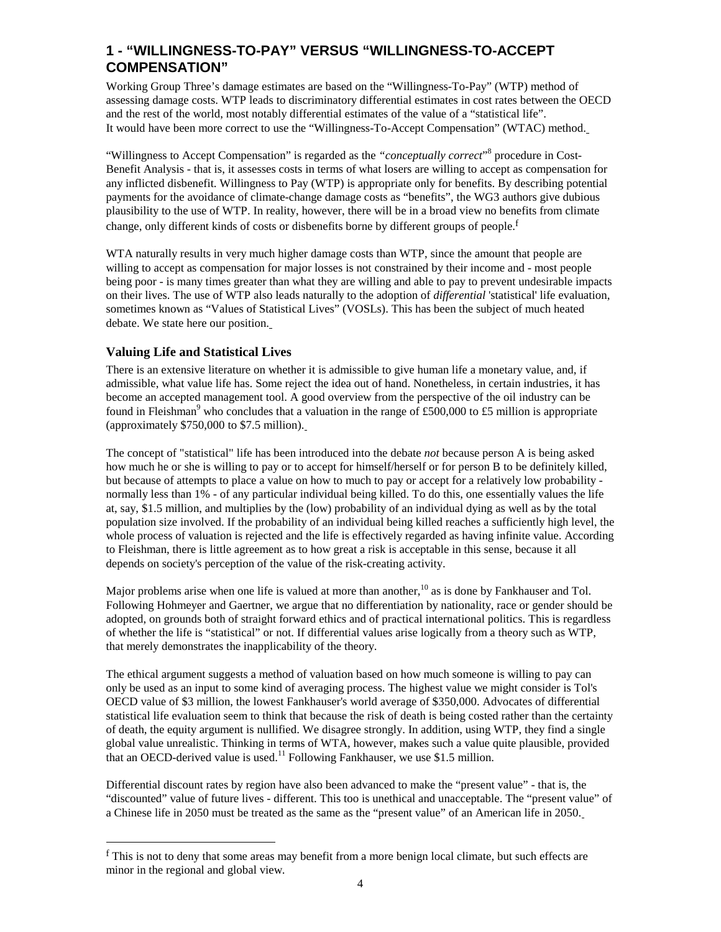## **1 - "WILLINGNESS-TO-PAY" VERSUS "WILLINGNESS-TO-ACCEPT COMPENSATION"**

Working Group Three's damage estimates are based on the "Willingness-To-Pay" (WTP) method of assessing damage costs. WTP leads to discriminatory differential estimates in cost rates between the OECD and the rest of the world, most notably differential estimates of the value of a "statistical life". It would have been more correct to use the "Willingness-To-Accept Compensation" (WTAC) method.

"Willingness to Accept Compensation" is regarded as the "conceptually correct"<sup>8</sup> procedure in Cost-Benefit Analysis - that is, it assesses costs in terms of what losers are willing to a[cc](#page-17-0)ept as compensation for any inflicted disbenefit. Willingness to Pay (WTP) is appropriate only for benefits. By describing potential payments for the avoidance of climate-change damage costs as "benefits", the WG3 authors give dubious plausibility to the use of WTP. In reality, however, there will be in a broad view no benefits from climate change, only different kinds of costs or disbenefits borne by different groups of people.<sup>f</sup>

WTA naturally results in very much higher damage costs than WTP, since the amount that people are willing to accept as compensation for major losses is not constrained by their income and - most people being poor - is many times greater than what they are willing and able to pay to prevent undesirable impacts on their lives. The use of WTP also leads naturally to the adoption of *differential* 'statistical' life evaluation, sometimes known as "Values of Statistical Lives" (VOSLs). This has been the subject of much heated debate. We state here our position.

### **Valuing Life and Statistical Lives**

 $\overline{\phantom{a}}$ 

There is an extensive literature on whether it is admissible to give human life a monetary value, and, if admissible, what value life has. Some reject the idea out of hand. Nonetheless, in certain industries, it has become an accepted management tool. A good overview from the perspective of the oil industry can be found in Fleishman<sup>9</sup> who concludes that a valuation in the range of £500,000 to £5 million is appropriate (approximately \$7[50](#page-17-0),000 to \$7.5 million).

The concept of "statistical" life has been introduced into the debate *not* because person A is being asked how much he or she is willing to pay or to accept for himself/herself or for person B to be definitely killed, but because of attempts to place a value on how to much to pay or accept for a relatively low probability normally less than 1% - of any particular individual being killed. To do this, one essentially values the life at, say, \$1.5 million, and multiplies by the (low) probability of an individual dying as well as by the total population size involved. If the probability of an individual being killed reaches a sufficiently high level, the whole process of valuation is rejected and the life is effectively regarded as having infinite value. According to Fleishman, there is little agreement as to how great a risk is acceptable in this sense, because it all depends on society's perception of the value of the risk-creating activity.

Major problems arise when one life is valued at more than another,  $^{10}$  as is done by Fankhauser and Tol. Following Hohmeyer and Gaertner, we argue that no differentiatio[n b](#page-17-0)y nationality, race or gender should be adopted, on grounds both of straight forward ethics and of practical international politics. This is regardless of whether the life is "statistical" or not. If differential values arise logically from a theory such as WTP, that merely demonstrates the inapplicability of the theory.

The ethical argument suggests a method of valuation based on how much someone is willing to pay can only be used as an input to some kind of averaging process. The highest value we might consider is Tol's OECD value of \$3 million, the lowest Fankhauser's world average of \$350,000. Advocates of differential statistical life evaluation seem to think that because the risk of death is being costed rather than the certainty of death, the equity argument is nullified. We disagree strongly. In addition, using WTP, they find a single global value unrealistic. Thinking in terms of WTA, however, makes such a value quite plausible, provided that an OECD-derived value is used.<sup>11</sup> Following Fankhauser, we use \$1.5 million.

Differential discount rates by region have also been advanced to make the "present value" - that is, the "discounted" value of future lives - different. This too is unethical and unacceptable. The "present value" of a Chinese life in 2050 must be treated as the same as the "present value" of an American life in 2050.

<sup>&</sup>lt;sup>f</sup> This is not to deny that some areas may benefit from a more benign local climate, but such effects are minor in the regional and global view.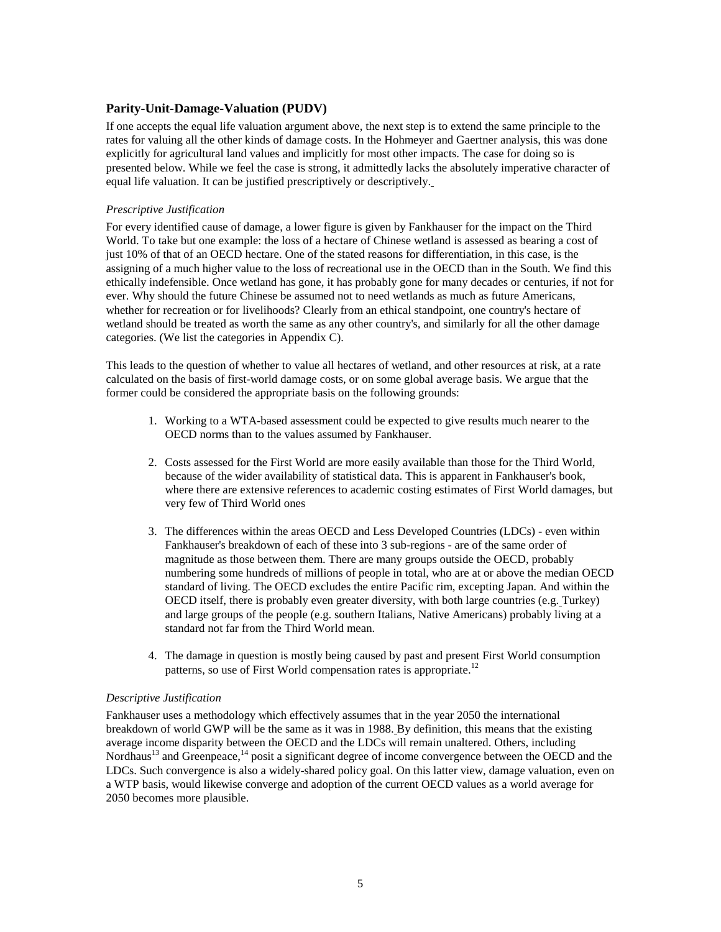#### **Parity-Unit-Damage-Valuation (PUDV)**

If one accepts the equal life valuation argument above, the next step is to extend the same principle to the rates for valuing all the other kinds of damage costs. In the Hohmeyer and Gaertner analysis, this was done explicitly for agricultural land values and implicitly for most other impacts. The case for doing so is presented below. While we feel the case is strong, it admittedly lacks the absolutely imperative character of equal life valuation. It can be justified prescriptively or descriptively.

#### *Prescriptive Justification*

For every identified cause of damage, a lower figure is given by Fankhauser for the impact on the Third World. To take but one example: the loss of a hectare of Chinese wetland is assessed as bearing a cost of just 10% of that of an OECD hectare. One of the stated reasons for differentiation, in this case, is the assigning of a much higher value to the loss of recreational use in the OECD than in the South. We find this ethically indefensible. Once wetland has gone, it has probably gone for many decades or centuries, if not for ever. Why should the future Chinese be assumed not to need wetlands as much as future Americans, whether for recreation or for livelihoods? Clearly from an ethical standpoint, one country's hectare of wetland should be treated as worth the same as any other country's, and similarly for all the other damage categories. (We list the categories in Appendix C).

This leads to the question of whether to value all hectares of wetland, and other resources at risk, at a rate calculated on the basis of first-world damage costs, or on some global average basis. We argue that the former could be considered the appropriate basis on the following grounds:

- 1. Working to a WTA-based assessment could be expected to give results much nearer to the OECD norms than to the values assumed by Fankhauser.
- 2. Costs assessed for the First World are more easily available than those for the Third World, because of the wider availability of statistical data. This is apparent in Fankhauser's book, where there are extensive references to academic costing estimates of First World damages, but very few of Third World ones
- 3. The differences within the areas OECD and Less Developed Countries (LDCs) even within Fankhauser's breakdown of each of these into 3 sub-regions - are of the same order of magnitude as those between them. There are many groups outside the OECD, probably numbering some hundreds of millions of people in total, who are at or above the median OECD standard of living. The OECD excludes the entire Pacific rim, excepting Japan. And within the OECD itself, there is probably even greater diversity, with both large countries (e.g. Turkey) and large groups of the people (e.g. southern Italians, Native Americans) probably living at a standard not far from the Third World mean.
- 4. The damage in question is mostly being caused by past and present First World consumption patterns, so use of First World compensation rates is appropriate.<sup>12</sup>

#### *Descriptive Justification*

Fankhauser uses a methodology which effectively assumes that in the year 2050 the international breakdown of world GWP will be the same as it was in 1988. By definition, this means that the existing average income disparity between the OECD and the LDCs will remain unaltered. Others, including Nordhaus<sup>13</sup> and Greenpeace,<sup>14</sup> posit a significant degree of income convergence between the OECD and the LDCs. S[uch](#page-17-0) convergence is [also](#page-17-0) a widely-shared policy goal. On this latter view, damage valuation, even on a WTP basis, would likewise converge and adoption of the current OECD values as a world average for 2050 becomes more plausible.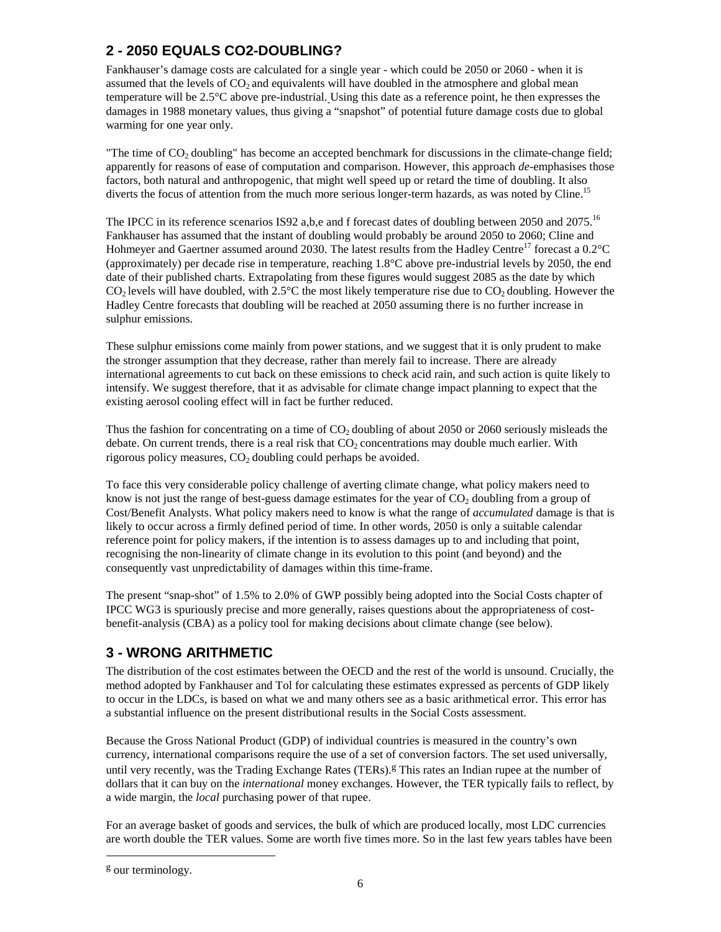# **2 - 2050 EQUALS CO2-DOUBLING?**

Fankhauser's damage costs are calculated for a single year - which could be 2050 or 2060 - when it is assumed that the levels of  $CO<sub>2</sub>$  and equivalents will have doubled in the atmosphere and global mean temperature will be 2.5°C above pre-industrial. Using this date as a reference point, he then expresses the damages in 1988 monetary values, thus giving a "snapshot" of potential future damage costs due to global warming for one year only.

"The time of  $CO<sub>2</sub>$  doubling" has become an accepted benchmark for discussions in the climate-change field; apparently for reasons of ease of computation and comparison. However, this approach *de*-emphasises those factors, both natural and anthropogenic, that might well speed up or retard the time of doubling. It also diverts the focus of attention from the much more serious longer-term hazards, as was noted by Cline.<sup>15</sup>

The IPCC in its reference scenarios IS92 a,b,e and f forecast dates of doubling between 2050 and 2075.<sup>16</sup> Fankhauser has assumed that the instant of doubling would probably be around 2050 to 2060; Cline an[d](#page-17-0)  Hohmeyer and Gaertner assumed around 2030. The latest results from the Hadley Centre<sup>17</sup> forecast a  $0.2^{\circ}$ C (approximately) per decade rise in temperature, reaching 1.8°C above pre-industrial leve[ls b](#page-17-0)y 2050, the end date of their published charts. Extrapolating from these figures would suggest 2085 as the date by which  $CO<sub>2</sub>$  levels will have doubled, with 2.5°C the most likely temperature rise due to  $CO<sub>2</sub>$  doubling. However the Hadley Centre forecasts that doubling will be reached at 2050 assuming there is no further increase in sulphur emissions.

These sulphur emissions come mainly from power stations, and we suggest that it is only prudent to make the stronger assumption that they decrease, rather than merely fail to increase. There are already international agreements to cut back on these emissions to check acid rain, and such action is quite likely to intensify. We suggest therefore, that it as advisable for climate change impact planning to expect that the existing aerosol cooling effect will in fact be further reduced.

Thus the fashion for concentrating on a time of  $CO<sub>2</sub>$  doubling of about 2050 or 2060 seriously misleads the debate. On current trends, there is a real risk that  $CO<sub>2</sub>$  concentrations may double much earlier. With rigorous policy measures,  $CO<sub>2</sub>$  doubling could perhaps be avoided.

To face this very considerable policy challenge of averting climate change, what policy makers need to know is not just the range of best-guess damage estimates for the year of  $CO<sub>2</sub>$  doubling from a group of Cost/Benefit Analysts. What policy makers need to know is what the range of *accumulated* damage is that is likely to occur across a firmly defined period of time. In other words, 2050 is only a suitable calendar reference point for policy makers, if the intention is to assess damages up to and including that point, recognising the non-linearity of climate change in its evolution to this point (and beyond) and the consequently vast unpredictability of damages within this time-frame.

The present "snap-shot" of 1.5% to 2.0% of GWP possibly being adopted into the Social Costs chapter of IPCC WG3 is spuriously precise and more generally, raises questions about the appropriateness of costbenefit-analysis (CBA) as a policy tool for making decisions about climate change (see below).

# **3 - WRONG ARITHMETIC**

The distribution of the cost estimates between the OECD and the rest of the world is unsound. Crucially, the method adopted by Fankhauser and Tol for calculating these estimates expressed as percents of GDP likely to occur in the LDCs, is based on what we and many others see as a basic arithmetical error. This error has a substantial influence on the present distributional results in the Social Costs assessment.

Because the Gross National Product (GDP) of individual countries is measured in the country's own currency, international comparisons require the use of a set of conversion factors. The set used universally, until very recently, was the Trading Exchange Rates (TERs).<sup>g</sup> This rates an Indian rupee at the number of dollars that it can buy on the *international* money exchanges. However, the TER typically fails to reflect, by a wide margin, the *local* purchasing power of that rupee.

For an average basket of goods and services, the bulk of which are produced locally, most LDC currencies are worth double the TER values. Some are worth five times more. So in the last few years tables have been

l

g our terminology.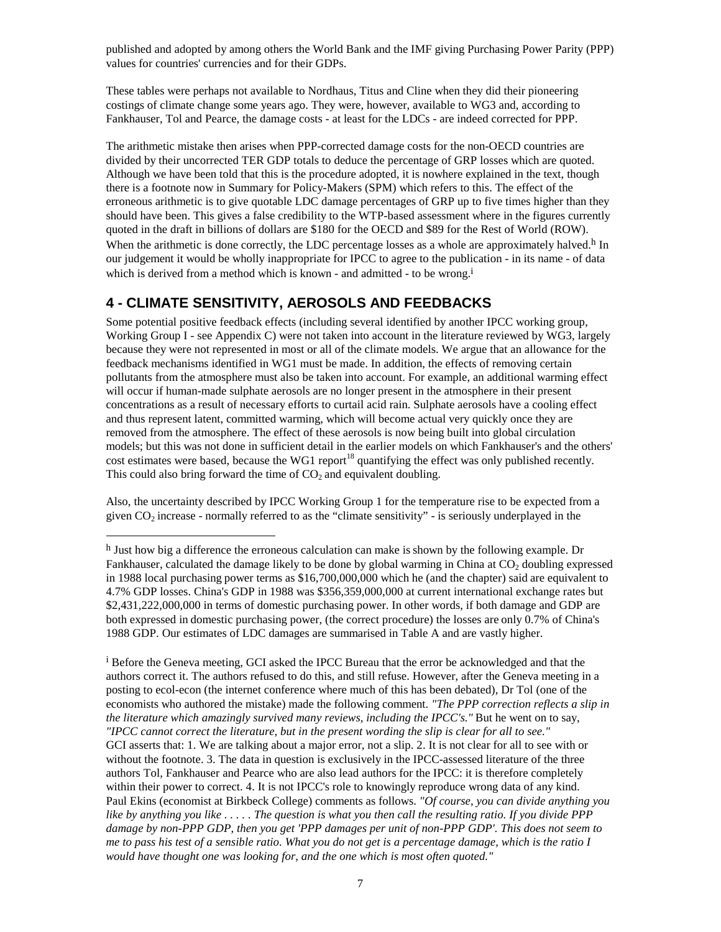published and adopted by among others the World Bank and the IMF giving Purchasing Power Parity (PPP) values for countries' currencies and for their GDPs.

These tables were perhaps not available to Nordhaus, Titus and Cline when they did their pioneering costings of climate change some years ago. They were, however, available to WG3 and, according to Fankhauser, Tol and Pearce, the damage costs - at least for the LDCs - are indeed corrected for PPP.

The arithmetic mistake then arises when PPP-corrected damage costs for the non-OECD countries are divided by their uncorrected TER GDP totals to deduce the percentage of GRP losses which are quoted. Although we have been told that this is the procedure adopted, it is nowhere explained in the text, though there is a footnote now in Summary for Policy-Makers (SPM) which refers to this. The effect of the erroneous arithmetic is to give quotable LDC damage percentages of GRP up to five times higher than they should have been. This gives a false credibility to the WTP-based assessment where in the figures currently quoted in the draft in billions of dollars are \$180 for the OECD and \$89 for the Rest of World (ROW). When the arithmetic is done correctly, the LDC percentage losses as a whole are approximately halved.<sup>h</sup> In our judgement it would be wholly inappropriate for IPCC to agree to the publication - in its name - of data which is derived from a method which is known - and admitted - to be wrong.<sup>i</sup>

## **4 - CLIMATE SENSITIVITY, AEROSOLS AND FEEDBACKS**

 $\overline{\phantom{a}}$ 

Some potential positive feedback effects (including several identified by another IPCC working group, Working Group I - see Appendix C) were not taken into account in the literature reviewed by WG3, largely because they were not represented in most or all of the climate models. We argue that an allowance for the feedback mechanisms identified in WG1 must be made. In addition, the effects of removing certain pollutants from the atmosphere must also be taken into account. For example, an additional warming effect will occur if human-made sulphate aerosols are no longer present in the atmosphere in their present concentrations as a result of necessary efforts to curtail acid rain. Sulphate aerosols have a cooling effect and thus represent latent, committed warming, which will become actual very quickly once they are removed from the atmosphere. The effect of these aerosols is now being built into global circulation models; but this was not done in sufficient detail in the earlier models on which Fankhauser's and the others' cost estimates were based, because the WG1 report<sup>18</sup> quantifying the effect was only published recently. This could also bring forward the time of  $CO<sub>2</sub>$  and [equ](#page-17-0)ivalent doubling.

Also, the uncertainty described by IPCC Working Group 1 for the temperature rise to be expected from a given  $CO<sub>2</sub>$  increase - normally referred to as the "climate sensitivity" - is seriously underplayed in the

<sup>i</sup> Before the Geneva meeting, GCI asked the IPCC Bureau that the error be acknowledged and that the authors correct it. The authors refused to do this, and still refuse. However, after the Geneva meeting in a posting to ecol-econ (the internet conference where much of this has been debated), Dr Tol (one of the economists who authored the mistake) made the following comment. *"The PPP correction reflects a slip in the literature which amazingly survived many reviews, including the IPCC's."* But he went on to say, *"IPCC cannot correct the literature, but in the present wording the slip is clear for all to see."*  GCI asserts that: 1. We are talking about a major error, not a slip. 2. It is not clear for all to see with or without the footnote. 3. The data in question is exclusively in the IPCC-assessed literature of the three authors Tol, Fankhauser and Pearce who are also lead authors for the IPCC: it is therefore completely within their power to correct. 4. It is not IPCC's role to knowingly reproduce wrong data of any kind. Paul Ekins (economist at Birkbeck College) comments as follows. *"Of course, you can divide anything you like by anything you like . . . . . The question is what you then call the resulting ratio. If you divide PPP damage by non-PPP GDP, then you get 'PPP damages per unit of non-PPP GDP'. This does not seem to me to pass his test of a sensible ratio. What you do not get is a percentage damage, which is the ratio I would have thought one was looking for, and the one which is most often quoted."*

 $<sup>h</sup>$  Just how big a difference the erroneous calculation can make is shown by the following example. Dr</sup> Fankhauser, calculated the damage likely to be done by global warming in China at CO<sub>2</sub> doubling expressed in 1988 local purchasing power terms as \$16,700,000,000 which he (and the chapter) said are equivalent to 4.7% GDP losses. China's GDP in 1988 was \$356,359,000,000 at current international exchange rates but \$2,431,222,000,000 in terms of domestic purchasing power. In other words, if both damage and GDP are both expressed in domestic purchasing power, (the correct procedure) the losses are only 0.7% of China's 1988 GDP. Our estimates of LDC damages are summarised in Table A and are vastly higher.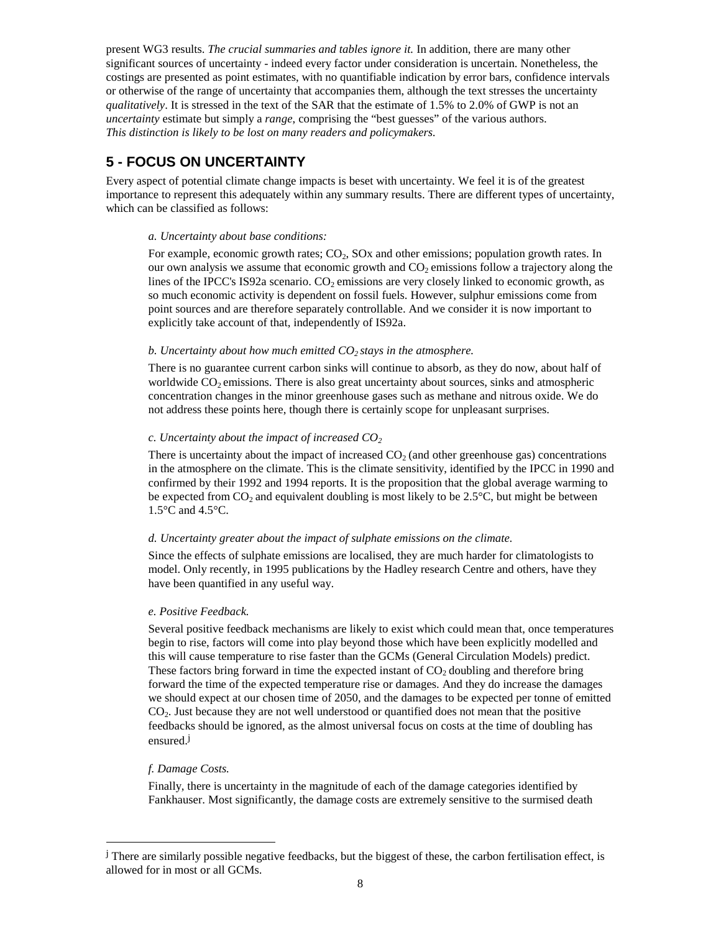present WG3 results. *The crucial summaries and tables ignore it.* In addition, there are many other significant sources of uncertainty - indeed every factor under consideration is uncertain. Nonetheless, the costings are presented as point estimates, with no quantifiable indication by error bars, confidence intervals or otherwise of the range of uncertainty that accompanies them, although the text stresses the uncertainty *qualitatively*. It is stressed in the text of the SAR that the estimate of 1.5% to 2.0% of GWP is not an *uncertainty* estimate but simply a *range*, comprising the "best guesses" of the various authors. *This distinction is likely to be lost on many readers and policymakers.* 

## **5 - FOCUS ON UNCERTAINTY**

Every aspect of potential climate change impacts is beset with uncertainty. We feel it is of the greatest importance to represent this adequately within any summary results. There are different types of uncertainty, which can be classified as follows:

#### *a. Uncertainty about base conditions:*

For example, economic growth rates;  $CO<sub>2</sub>$ , SOx and other emissions; population growth rates. In our own analysis we assume that economic growth and  $CO<sub>2</sub>$  emissions follow a trajectory along the lines of the IPCC's IS92a scenario.  $CO<sub>2</sub>$  emissions are very closely linked to economic growth, as so much economic activity is dependent on fossil fuels. However, sulphur emissions come from point sources and are therefore separately controllable. And we consider it is now important to explicitly take account of that, independently of IS92a.

#### *b. Uncertainty about how much emitted CO<sub>2</sub> stays in the atmosphere.*

There is no guarantee current carbon sinks will continue to absorb, as they do now, about half of worldwide  $CO<sub>2</sub>$  emissions. There is also great uncertainty about sources, sinks and atmospheric concentration changes in the minor greenhouse gases such as methane and nitrous oxide. We do not address these points here, though there is certainly scope for unpleasant surprises.

#### *c. Uncertainty about the impact of increased CO<sub>2</sub>*

There is uncertainty about the impact of increased  $CO<sub>2</sub>$  (and other greenhouse gas) concentrations in the atmosphere on the climate. This is the climate sensitivity, identified by the IPCC in 1990 and confirmed by their 1992 and 1994 reports. It is the proposition that the global average warming to be expected from  $CO<sub>2</sub>$  and equivalent doubling is most likely to be 2.5 $\degree$ C, but might be between 1.5°C and 4.5°C.

#### *d. Uncertainty greater about the impact of sulphate emissions on the climate.*

Since the effects of sulphate emissions are localised, they are much harder for climatologists to model. Only recently, in 1995 publications by the Hadley research Centre and others, have they have been quantified in any useful way.

#### *e. Positive Feedback.*

Several positive feedback mechanisms are likely to exist which could mean that, once temperatures begin to rise, factors will come into play beyond those which have been explicitly modelled and this will cause temperature to rise faster than the GCMs (General Circulation Models) predict. These factors bring forward in time the expected instant of  $CO<sub>2</sub>$  doubling and therefore bring forward the time of the expected temperature rise or damages. And they do increase the damages we should expect at our chosen time of 2050, and the damages to be expected per tonne of emitted CO2. Just because they are not well understood or quantified does not mean that the positive feedbacks should be ignored, as the almost universal focus on costs at the time of doubling has ensured.j

### *f. Damage Costs.*

 $\overline{\phantom{a}}$ 

Finally, there is uncertainty in the magnitude of each of the damage categories identified by Fankhauser. Most significantly, the damage costs are extremely sensitive to the surmised death

<sup>&</sup>lt;sup>j</sup> There are similarly possible negative feedbacks, but the biggest of these, the carbon fertilisation effect, is allowed for in most or all GCMs.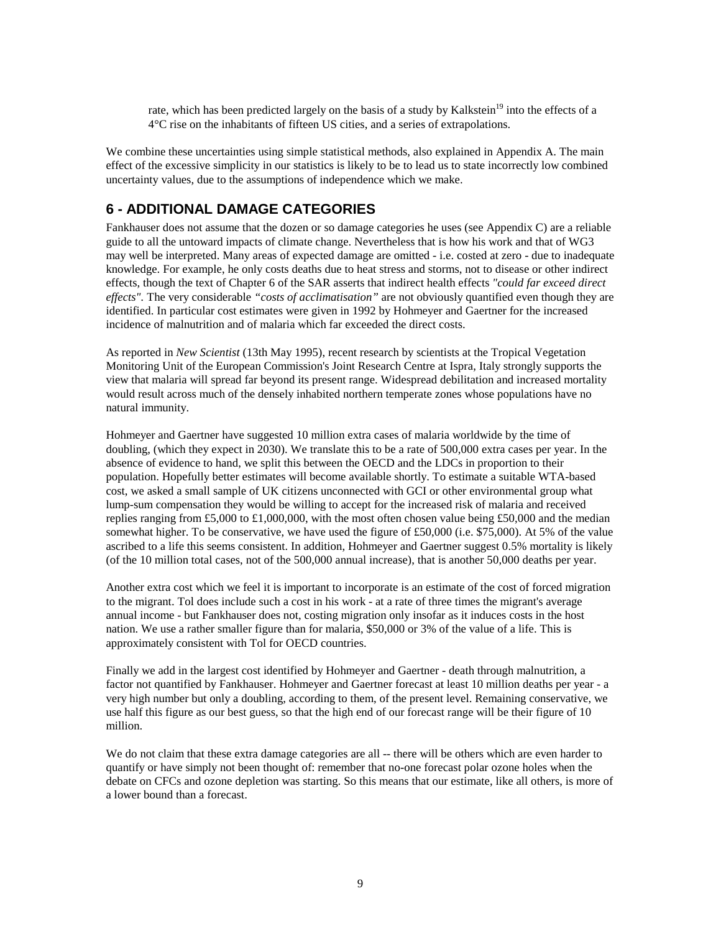rate, which has been predicted largely on the basis of a study by Kalkstein<sup>19</sup> into the effects of a 4°C rise on the inhabitants of fifteen US cities, and a series of extrapolati[ons](#page-17-0).

We combine these uncertainties using simple statistical methods, also explained in Appendix A. The main effect of the excessive simplicity in our statistics is likely to be to lead us to state incorrectly low combined uncertainty values, due to the assumptions of independence which we make.

## **6 - ADDITIONAL DAMAGE CATEGORIES**

Fankhauser does not assume that the dozen or so damage categories he uses (see Appendix C) are a reliable guide to all the untoward impacts of climate change. Nevertheless that is how his work and that of WG3 may well be interpreted. Many areas of expected damage are omitted - i.e. costed at zero - due to inadequate knowledge. For example, he only costs deaths due to heat stress and storms, not to disease or other indirect effects, though the text of Chapter 6 of the SAR asserts that indirect health effects *"could far exceed direct effects".* The very considerable *"costs of acclimatisation"* are not obviously quantified even though they are identified. In particular cost estimates were given in 1992 by Hohmeyer and Gaertner for the increased incidence of malnutrition and of malaria which far exceeded the direct costs.

As reported in *New Scientist* (13th May 1995), recent research by scientists at the Tropical Vegetation Monitoring Unit of the European Commission's Joint Research Centre at Ispra, Italy strongly supports the view that malaria will spread far beyond its present range. Widespread debilitation and increased mortality would result across much of the densely inhabited northern temperate zones whose populations have no natural immunity.

Hohmeyer and Gaertner have suggested 10 million extra cases of malaria worldwide by the time of doubling, (which they expect in 2030). We translate this to be a rate of 500,000 extra cases per year. In the absence of evidence to hand, we split this between the OECD and the LDCs in proportion to their population. Hopefully better estimates will become available shortly. To estimate a suitable WTA-based cost, we asked a small sample of UK citizens unconnected with GCI or other environmental group what lump-sum compensation they would be willing to accept for the increased risk of malaria and received replies ranging from £5,000 to £1,000,000, with the most often chosen value being £50,000 and the median somewhat higher. To be conservative, we have used the figure of £50,000 (i.e. \$75,000). At 5% of the value ascribed to a life this seems consistent. In addition, Hohmeyer and Gaertner suggest 0.5% mortality is likely (of the 10 million total cases, not of the 500,000 annual increase), that is another 50,000 deaths per year.

Another extra cost which we feel it is important to incorporate is an estimate of the cost of forced migration to the migrant. Tol does include such a cost in his work - at a rate of three times the migrant's average annual income - but Fankhauser does not, costing migration only insofar as it induces costs in the host nation. We use a rather smaller figure than for malaria, \$50,000 or 3% of the value of a life. This is approximately consistent with Tol for OECD countries.

Finally we add in the largest cost identified by Hohmeyer and Gaertner - death through malnutrition, a factor not quantified by Fankhauser. Hohmeyer and Gaertner forecast at least 10 million deaths per year - a very high number but only a doubling, according to them, of the present level. Remaining conservative, we use half this figure as our best guess, so that the high end of our forecast range will be their figure of 10 million.

We do not claim that these extra damage categories are all -- there will be others which are even harder to quantify or have simply not been thought of: remember that no-one forecast polar ozone holes when the debate on CFCs and ozone depletion was starting. So this means that our estimate, like all others, is more of a lower bound than a forecast.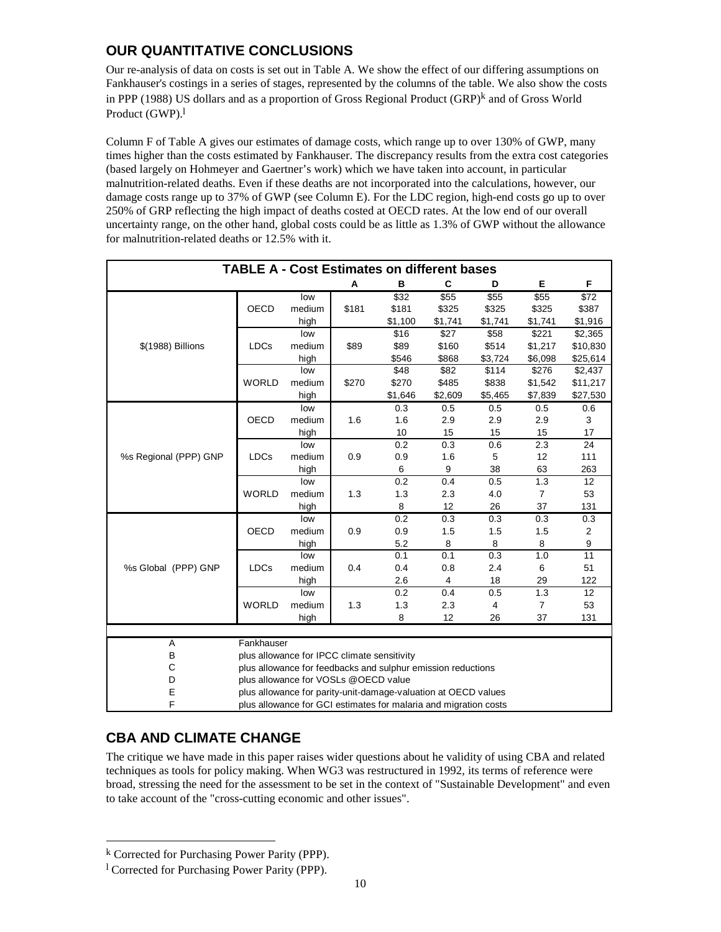# **OUR QUANTITATIVE CONCLUSIONS**

Our re-analysis of data on costs is set out in Table A. We show the effect of our differing assumptions on Fankhauser's costings in a series of stages, represented by the columns of the table. We also show the costs in PPP (1988) US dollars and as a proportion of Gross Regional Product  $(GRP)^k$  and of Gross World Product (GWP).<sup>1</sup>

Column F of Table A gives our estimates of damage costs, which range up to over 130% of GWP, many times higher than the costs estimated by Fankhauser. The discrepancy results from the extra cost categories (based largely on Hohmeyer and Gaertner's work) which we have taken into account, in particular malnutrition-related deaths. Even if these deaths are not incorporated into the calculations, however, our damage costs range up to 37% of GWP (see Column E). For the LDC region, high-end costs go up to over 250% of GRP reflecting the high impact of deaths costed at OECD rates. At the low end of our overall uncertainty range, on the other hand, global costs could be as little as 1.3% of GWP without the allowance for malnutrition-related deaths or 12.5% with it.

| <b>TABLE A - Cost Estimates on different bases</b> |                                                                  |        |       |         |         |                |                |          |
|----------------------------------------------------|------------------------------------------------------------------|--------|-------|---------|---------|----------------|----------------|----------|
|                                                    |                                                                  |        | Α     | В       | C       | D              | Е              | F        |
| \$(1988) Billions                                  |                                                                  | low    | \$181 | \$32    | \$55    | \$55           | \$55           | \$72     |
|                                                    | <b>OECD</b>                                                      | medium |       | \$181   | \$325   | \$325          | \$325          | \$387    |
|                                                    |                                                                  | high   |       | \$1,100 | \$1,741 | \$1,741        | \$1,741        | \$1,916  |
|                                                    | <b>LDCs</b>                                                      | low    | \$89  | \$16    | \$27    | \$58           | \$221          | \$2,365  |
|                                                    |                                                                  | medium |       | \$89    | \$160   | \$514          | \$1,217        | \$10,830 |
|                                                    |                                                                  | high   |       | \$546   | \$868   | \$3,724        | \$6,098        | \$25,614 |
|                                                    |                                                                  | low    |       | \$48    | \$82    | \$114          | \$276          | \$2,437  |
|                                                    | <b>WORLD</b>                                                     | medium | \$270 | \$270   | \$485   | \$838          | \$1,542        | \$11,217 |
|                                                    |                                                                  | high   |       | \$1,646 | \$2,609 | \$5,465        | \$7,839        | \$27,530 |
|                                                    |                                                                  | low    |       | 0.3     | 0.5     | 0.5            | 0.5            | 0.6      |
|                                                    | <b>OECD</b>                                                      | medium | 1.6   | 1.6     | 2.9     | 2.9            | 2.9            | 3        |
|                                                    |                                                                  | high   |       | 10      | 15      | 15             | 15             | 17       |
|                                                    |                                                                  | low    |       | 0.2     | 0.3     | 0.6            | 2.3            | 24       |
| %s Regional (PPP) GNP                              | <b>LDCs</b>                                                      | medium | 0.9   | 0.9     | 1.6     | 5              | 12             | 111      |
|                                                    |                                                                  | high   |       | 6       | 9       | 38             | 63             | 263      |
|                                                    |                                                                  | low    |       | 0.2     | 0.4     | 0.5            | 1.3            | 12       |
|                                                    | <b>WORLD</b>                                                     | medium | 1.3   | 1.3     | 2.3     | 4.0            | $\overline{7}$ | 53       |
|                                                    |                                                                  | high   |       | 8       | 12      | 26             | 37             | 131      |
| %s Global (PPP) GNP                                |                                                                  | low    |       | 0.2     | 0.3     | 0.3            | 0.3            | 0.3      |
|                                                    | <b>OECD</b>                                                      | medium | 0.9   | 0.9     | 1.5     | 1.5            | 1.5            | 2        |
|                                                    |                                                                  | high   |       | 5.2     | 8       | 8              | 8              | 9        |
|                                                    | <b>LDCs</b>                                                      | low    | 0.4   | 0.1     | 0.1     | 0.3            | 1.0            | 11       |
|                                                    |                                                                  | medium |       | 0.4     | 0.8     | 2.4            | 6              | 51       |
|                                                    |                                                                  | high   |       | 2.6     | 4       | 18             | 29             | 122      |
|                                                    |                                                                  | low    |       | 0.2     | 0.4     | 0.5            | 1.3            | 12       |
|                                                    | <b>WORLD</b>                                                     | medium | 1.3   | 1.3     | 2.3     | $\overline{4}$ | $\overline{7}$ | 53       |
|                                                    |                                                                  | high   |       | 8       | 12      | 26             | 37             | 131      |
|                                                    |                                                                  |        |       |         |         |                |                |          |
| Α                                                  | Fankhauser                                                       |        |       |         |         |                |                |          |
| B                                                  | plus allowance for IPCC climate sensitivity                      |        |       |         |         |                |                |          |
| $\mathsf{C}$                                       | plus allowance for feedbacks and sulphur emission reductions     |        |       |         |         |                |                |          |
| D                                                  | plus allowance for VOSLs @OECD value                             |        |       |         |         |                |                |          |
| E                                                  | plus allowance for parity-unit-damage-valuation at OECD values   |        |       |         |         |                |                |          |
| F                                                  | plus allowance for GCI estimates for malaria and migration costs |        |       |         |         |                |                |          |

# **CBA AND CLIMATE CHANGE**

The critique we have made in this paper raises wider questions about he validity of using CBA and related techniques as tools for policy making. When WG3 was restructured in 1992, its terms of reference were broad, stressing the need for the assessment to be set in the context of "Sustainable Development" and even to take account of the "cross-cutting economic and other issues".

 $\overline{\phantom{a}}$ 

k Corrected for Purchasing Power Parity (PPP).

<sup>&</sup>lt;sup>1</sup> Corrected for Purchasing Power Parity (PPP).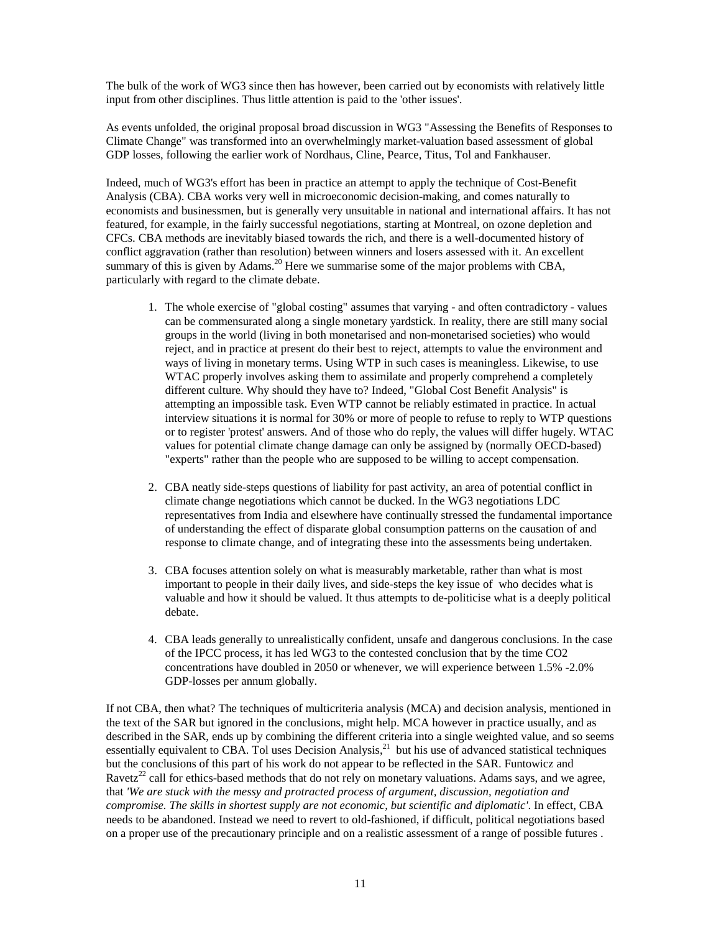The bulk of the work of WG3 since then has however, been carried out by economists with relatively little input from other disciplines. Thus little attention is paid to the 'other issues'.

As events unfolded, the original proposal broad discussion in WG3 "Assessing the Benefits of Responses to Climate Change" was transformed into an overwhelmingly market-valuation based assessment of global GDP losses, following the earlier work of Nordhaus, Cline, Pearce, Titus, Tol and Fankhauser.

Indeed, much of WG3's effort has been in practice an attempt to apply the technique of Cost-Benefit Analysis (CBA). CBA works very well in microeconomic decision-making, and comes naturally to economists and businessmen, but is generally very unsuitable in national and international affairs. It has not featured, for example, in the fairly successful negotiations, starting at Montreal, on ozone depletion and CFCs. CBA methods are inevitably biased towards the rich, and there is a well-documented history of conflict aggravation (rather than resolution) between winners and losers assessed with it. An excellent summary of this is given by Adams.<sup>20</sup> Here we summarise some of the major problems with CBA, particularly with regard to the clim[ate](#page-17-0) debate.

- 1. The whole exercise of "global costing" assumes that varying and often contradictory values can be commensurated along a single monetary yardstick. In reality, there are still many social groups in the world (living in both monetarised and non-monetarised societies) who would reject, and in practice at present do their best to reject, attempts to value the environment and ways of living in monetary terms. Using WTP in such cases is meaningless. Likewise, to use WTAC properly involves asking them to assimilate and properly comprehend a completely different culture. Why should they have to? Indeed, "Global Cost Benefit Analysis" is attempting an impossible task. Even WTP cannot be reliably estimated in practice. In actual interview situations it is normal for 30% or more of people to refuse to reply to WTP questions or to register 'protest' answers. And of those who do reply, the values will differ hugely. WTAC values for potential climate change damage can only be assigned by (normally OECD-based) "experts" rather than the people who are supposed to be willing to accept compensation.
- 2. CBA neatly side-steps questions of liability for past activity, an area of potential conflict in climate change negotiations which cannot be ducked. In the WG3 negotiations LDC representatives from India and elsewhere have continually stressed the fundamental importance of understanding the effect of disparate global consumption patterns on the causation of and response to climate change, and of integrating these into the assessments being undertaken.
- 3. CBA focuses attention solely on what is measurably marketable, rather than what is most important to people in their daily lives, and side-steps the key issue of who decides what is valuable and how it should be valued. It thus attempts to de-politicise what is a deeply political debate.
- 4. CBA leads generally to unrealistically confident, unsafe and dangerous conclusions. In the case of the IPCC process, it has led WG3 to the contested conclusion that by the time CO2 concentrations have doubled in 2050 or whenever, we will experience between 1.5% -2.0% GDP-losses per annum globally.

If not CBA, then what? The techniques of multicriteria analysis (MCA) and decision analysis, mentioned in the text of the SAR but ignored in the conclusions, might help. MCA however in practice usually, and as described in the SAR, ends up by combining the different criteria into a single weighted value, and so seems essentially equivalent to CBA. Tol uses Decision Analysis,<sup>21</sup> but his use of advanced statistical techniques but the conclusions of this part of his work do not appear t[o b](#page-17-0)e reflected in the SAR. Funtowicz and Ravetz<sup>22</sup> call for ethics-based methods that do not rely on monetary valuations. Adams says, and we agree, that *'W[e a](#page-17-0)re stuck with the messy and protracted process of argument, discussion, negotiation and compromise. The skills in shortest supply are not economic, but scientific and diplomatic'*. In effect, CBA needs to be abandoned. Instead we need to revert to old-fashioned, if difficult, political negotiations based on a proper use of the precautionary principle and on a realistic assessment of a range of possible futures .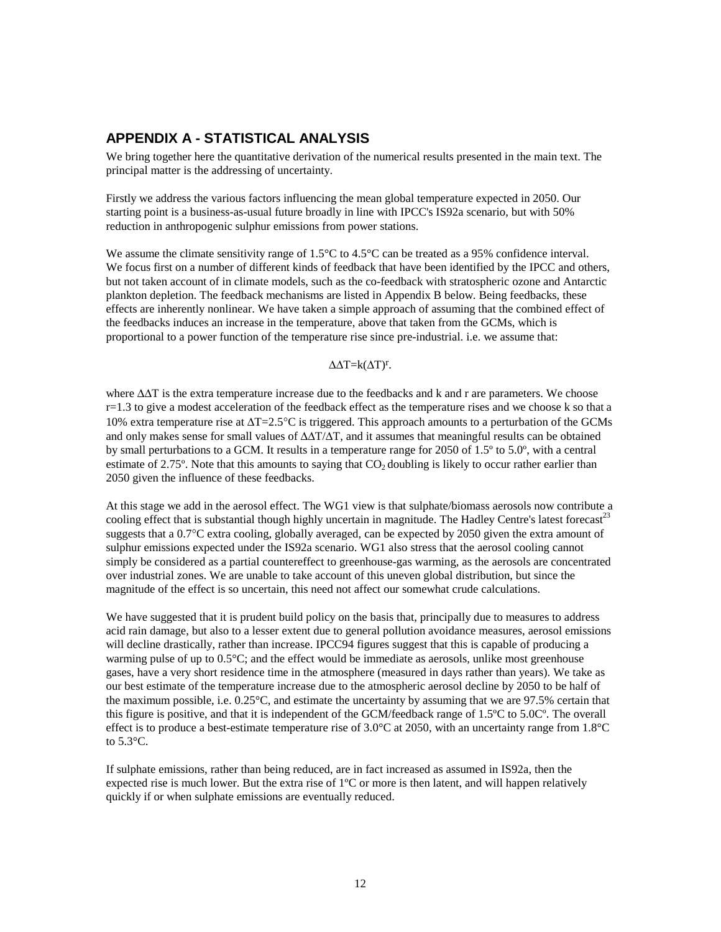## **APPENDIX A - STATISTICAL ANALYSIS**

We bring together here the quantitative derivation of the numerical results presented in the main text. The principal matter is the addressing of uncertainty.

Firstly we address the various factors influencing the mean global temperature expected in 2050. Our starting point is a business-as-usual future broadly in line with IPCC's IS92a scenario, but with 50% reduction in anthropogenic sulphur emissions from power stations.

We assume the climate sensitivity range of 1.5°C to 4.5°C can be treated as a 95% confidence interval. We focus first on a number of different kinds of feedback that have been identified by the IPCC and others, but not taken account of in climate models, such as the co-feedback with stratospheric ozone and Antarctic plankton depletion. The feedback mechanisms are listed in Appendix B below. Being feedbacks, these effects are inherently nonlinear. We have taken a simple approach of assuming that the combined effect of the feedbacks induces an increase in the temperature, above that taken from the GCMs, which is proportional to a power function of the temperature rise since pre-industrial. i.e. we assume that:

#### $\Delta \Delta T = k(\Delta T)^{r}$ .

where  $\Delta\Delta T$  is the extra temperature increase due to the feedbacks and k and r are parameters. We choose r=1.3 to give a modest acceleration of the feedback effect as the temperature rises and we choose k so that a 10% extra temperature rise at ∆T=2.5°C is triggered. This approach amounts to a perturbation of the GCMs and only makes sense for small values of ∆∆T/∆T, and it assumes that meaningful results can be obtained by small perturbations to a GCM. It results in a temperature range for 2050 of 1.5º to 5.0º, with a central estimate of 2.75 $\degree$ . Note that this amounts to saying that  $CO<sub>2</sub>$  doubling is likely to occur rather earlier than 2050 given the influence of these feedbacks.

At this stage we add in the aerosol effect. The WG1 view is that sulphate/biomass aerosols now contribute a cooling effect that is substantial though highly uncertain in magnitude. The Hadley Centre's latest forecast<sup>23</sup> suggests that a 0.7°C extra cooling, globally averaged, can be expected by 2050 given the extra amount o[f](#page-17-0)  sulphur emissions expected under the IS92a scenario. WG1 also stress that the aerosol cooling cannot simply be considered as a partial countereffect to greenhouse-gas warming, as the aerosols are concentrated over industrial zones. We are unable to take account of this uneven global distribution, but since the magnitude of the effect is so uncertain, this need not affect our somewhat crude calculations.

We have suggested that it is prudent build policy on the basis that, principally due to measures to address acid rain damage, but also to a lesser extent due to general pollution avoidance measures, aerosol emissions will decline drastically, rather than increase. IPCC94 figures suggest that this is capable of producing a warming pulse of up to 0.5°C; and the effect would be immediate as aerosols, unlike most greenhouse gases, have a very short residence time in the atmosphere (measured in days rather than years). We take as our best estimate of the temperature increase due to the atmospheric aerosol decline by 2050 to be half of the maximum possible, i.e.  $0.25^{\circ}$ C, and estimate the uncertainty by assuming that we are 97.5% certain that this figure is positive, and that it is independent of the GCM/feedback range of 1.5ºC to 5.0Cº. The overall effect is to produce a best-estimate temperature rise of  $3.0^{\circ}$ C at 2050, with an uncertainty range from  $1.8^{\circ}$ C to 5.3°C.

If sulphate emissions, rather than being reduced, are in fact increased as assumed in IS92a, then the expected rise is much lower. But the extra rise of 1ºC or more is then latent, and will happen relatively quickly if or when sulphate emissions are eventually reduced.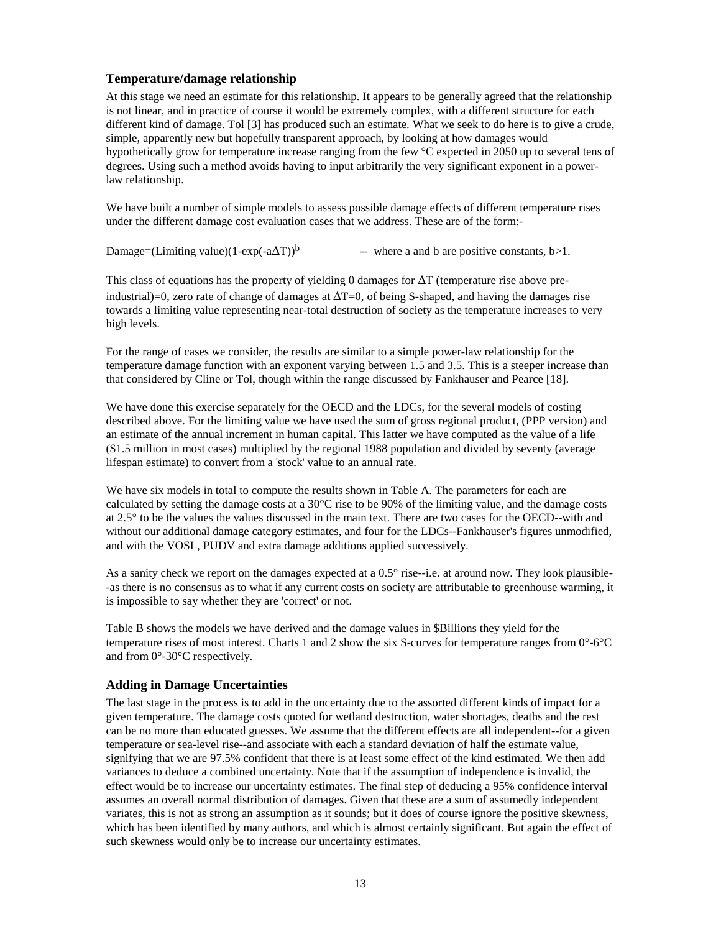#### **Temperature/damage relationship**

At this stage we need an estimate for this relationship. It appears to be generally agreed that the relationship is not linear, and in practice of course it would be extremely complex, with a different structure for each different kind of damage. Tol [3] has produced such an estimate. What we seek to do here is to give a crude, simple, apparently new but hopefully transparent approach, by looking at how damages would hypothetically grow for temperature increase ranging from the few °C expected in 2050 up to several tens of degrees. Using such a method avoids having to input arbitrarily the very significant exponent in a powerlaw relationship.

We have built a number of simple models to assess possible damage effects of different temperature rises under the different damage cost evaluation cases that we address. These are of the form:-

Damage=(Limiting value)(1-exp(-a $\Delta T$ )<sup>b</sup> -- where a and b are positive constants, b>1.

This class of equations has the property of yielding 0 damages for  $\Delta T$  (temperature rise above preindustrial)=0, zero rate of change of damages at ∆T=0, of being S-shaped, and having the damages rise towards a limiting value representing near-total destruction of society as the temperature increases to very high levels.

For the range of cases we consider, the results are similar to a simple power-law relationship for the temperature damage function with an exponent varying between 1.5 and 3.5. This is a steeper increase than that considered by Cline or Tol, though within the range discussed by Fankhauser and Pearce [18].

We have done this exercise separately for the OECD and the LDCs, for the several models of costing described above. For the limiting value we have used the sum of gross regional product, (PPP version) and an estimate of the annual increment in human capital. This latter we have computed as the value of a life (\$1.5 million in most cases) multiplied by the regional 1988 population and divided by seventy (average lifespan estimate) to convert from a 'stock' value to an annual rate.

We have six models in total to compute the results shown in Table A. The parameters for each are calculated by setting the damage costs at a 30°C rise to be 90% of the limiting value, and the damage costs at 2.5° to be the values the values discussed in the main text. There are two cases for the OECD--with and without our additional damage category estimates, and four for the LDCs--Fankhauser's figures unmodified, and with the VOSL, PUDV and extra damage additions applied successively.

As a sanity check we report on the damages expected at a 0.5° rise--i.e. at around now. They look plausible- -as there is no consensus as to what if any current costs on society are attributable to greenhouse warming, it is impossible to say whether they are 'correct' or not.

Table B shows the models we have derived and the damage values in \$Billions they yield for the temperature rises of most interest. Charts 1 and 2 show the six S-curves for temperature ranges from  $0^{\circ}$ -6 $^{\circ}$ C and from 0°-30°C respectively.

### **Adding in Damage Uncertainties**

The last stage in the process is to add in the uncertainty due to the assorted different kinds of impact for a given temperature. The damage costs quoted for wetland destruction, water shortages, deaths and the rest can be no more than educated guesses. We assume that the different effects are all independent--for a given temperature or sea-level rise--and associate with each a standard deviation of half the estimate value, signifying that we are 97.5% confident that there is at least some effect of the kind estimated. We then add variances to deduce a combined uncertainty. Note that if the assumption of independence is invalid, the effect would be to increase our uncertainty estimates. The final step of deducing a 95% confidence interval assumes an overall normal distribution of damages. Given that these are a sum of assumedly independent variates, this is not as strong an assumption as it sounds; but it does of course ignore the positive skewness, which has been identified by many authors, and which is almost certainly significant. But again the effect of such skewness would only be to increase our uncertainty estimates.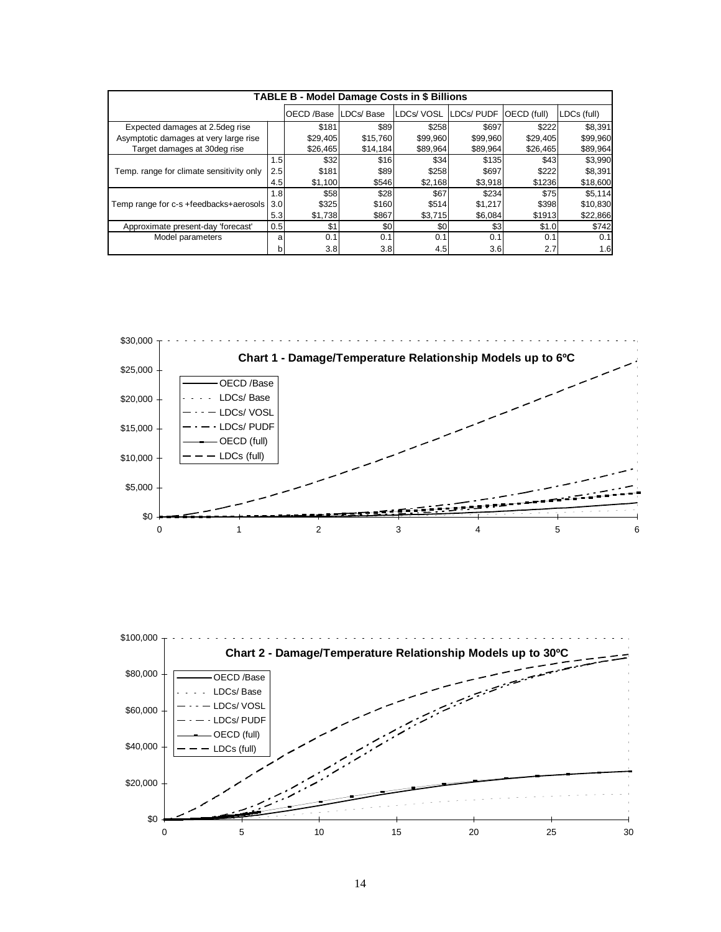| <b>TABLE B - Model Damage Costs in \$ Billions</b> |     |            |           |           |                  |             |             |
|----------------------------------------------------|-----|------------|-----------|-----------|------------------|-------------|-------------|
|                                                    |     | OECD /Base | LDCs/Base | LDCs/VOSL | <b>LDCs/PUDF</b> | OECD (full) | LDCs (full) |
| Expected damages at 2.5deg rise                    |     | \$181      | \$89      | \$258     | \$697            | \$222       | \$8,391     |
| Asymptotic damages at very large rise              |     | \$29,405   | \$15,760  | \$99,960  | \$99,960         | \$29,405    | \$99,960    |
| Target damages at 30deg rise                       |     | \$26,465   | \$14,184  | \$89,964  | \$89,964         | \$26,465    | \$89,964    |
| Temp. range for climate sensitivity only           | 1.5 | \$32       | \$16      | \$34      | \$135            | \$43        | \$3,990     |
|                                                    | 2.5 | \$181      | \$89      | \$258     | \$697            | \$222       | \$8,391     |
|                                                    | 4.5 | \$1,100    | \$546     | \$2,168   | \$3,918          | \$1236      | \$18,600    |
|                                                    | 1.8 | \$58       | \$28      | \$67      | \$234            | \$75        | \$5.114     |
| Temp range for c-s +feedbacks+aerosols             | 3.0 | \$325      | \$160     | \$514     | \$1,217          | \$398       | \$10,830    |
|                                                    | 5.3 | \$1,738    | \$867     | \$3,715   | \$6,084          | \$1913      | \$22,866    |
| Approximate present-day 'forecast'                 | 0.5 | \$1        | \$0       | \$0       | \$3              | \$1.0       | \$742       |
| Model parameters                                   | a   | 0.1        | 0.1       | 0.1       | 0.1              | 0.1         | 0.1         |
|                                                    | b   | 3.8        | 3.8       | 4.5       | 3.6              | 2.7         | 1.6         |



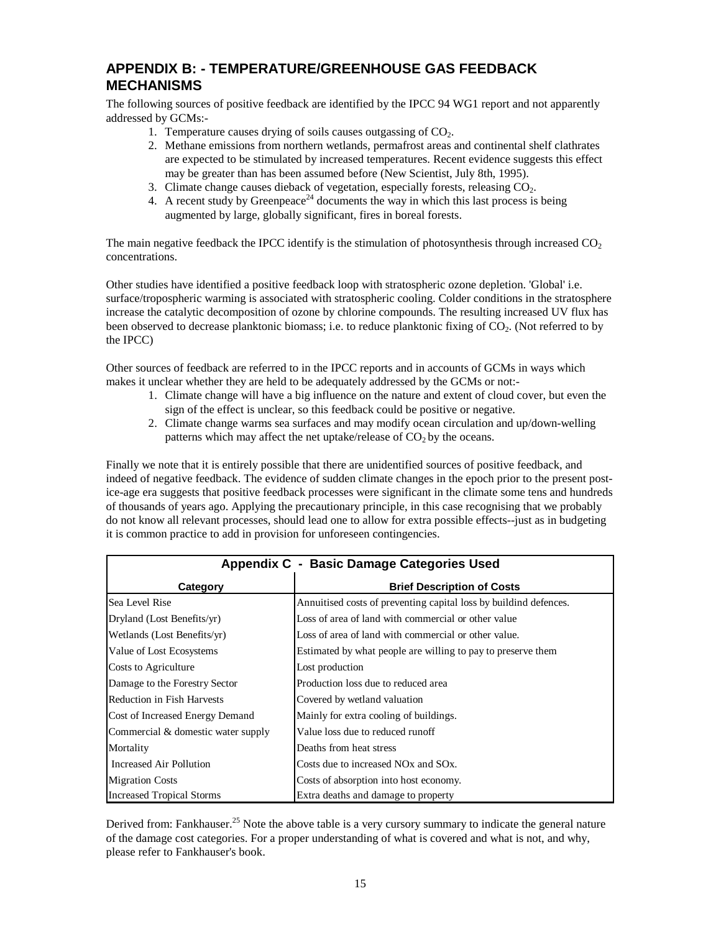## **APPENDIX B: - TEMPERATURE/GREENHOUSE GAS FEEDBACK MECHANISMS**

The following sources of positive feedback are identified by the IPCC 94 WG1 report and not apparently addressed by GCMs:-

- 1. Temperature causes drying of soils causes outgassing of  $CO<sub>2</sub>$ .
- 2. Methane emissions from northern wetlands, permafrost areas and continental shelf clathrates are expected to be stimulated by increased temperatures. Recent evidence suggests this effect may be greater than has been assumed before (New Scientist, July 8th, 1995).
- 3. Climate change causes dieback of vegetation, especially forests, releasing  $CO<sub>2</sub>$ .
- 4. A recent study by Greenpeace<sup>24</sup> documents the way in which this last process is being augmented by large, globally [sig](#page-17-0)nificant, fires in boreal forests.

The main negative feedback the IPCC identify is the stimulation of photosynthesis through increased  $CO<sub>2</sub>$ concentrations.

Other studies have identified a positive feedback loop with stratospheric ozone depletion. 'Global' i.e. surface/tropospheric warming is associated with stratospheric cooling. Colder conditions in the stratosphere increase the catalytic decomposition of ozone by chlorine compounds. The resulting increased UV flux has been observed to decrease planktonic biomass; i.e. to reduce planktonic fixing of  $CO<sub>2</sub>$ . (Not referred to by the IPCC)

Other sources of feedback are referred to in the IPCC reports and in accounts of GCMs in ways which makes it unclear whether they are held to be adequately addressed by the GCMs or not:-

- 1. Climate change will have a big influence on the nature and extent of cloud cover, but even the sign of the effect is unclear, so this feedback could be positive or negative.
- 2. Climate change warms sea surfaces and may modify ocean circulation and up/down-welling patterns which may affect the net uptake/release of  $CO<sub>2</sub>$  by the oceans.

Finally we note that it is entirely possible that there are unidentified sources of positive feedback, and indeed of negative feedback. The evidence of sudden climate changes in the epoch prior to the present postice-age era suggests that positive feedback processes were significant in the climate some tens and hundreds of thousands of years ago. Applying the precautionary principle, in this case recognising that we probably do not know all relevant processes, should lead one to allow for extra possible effects--just as in budgeting it is common practice to add in provision for unforeseen contingencies.

| Appendix C - Basic Damage Categories Used |                                                                   |  |  |  |
|-------------------------------------------|-------------------------------------------------------------------|--|--|--|
| Category                                  | <b>Brief Description of Costs</b>                                 |  |  |  |
| Sea Level Rise                            | Annuitised costs of preventing capital loss by buildind defences. |  |  |  |
| Dryland (Lost Benefits/yr)                | Loss of area of land with commercial or other value               |  |  |  |
| Wetlands (Lost Benefits/yr)               | Loss of area of land with commercial or other value.              |  |  |  |
| Value of Lost Ecosystems                  | Estimated by what people are willing to pay to preserve them      |  |  |  |
| Costs to Agriculture                      | Lost production                                                   |  |  |  |
| Damage to the Forestry Sector             | Production loss due to reduced area                               |  |  |  |
| <b>Reduction in Fish Harvests</b>         | Covered by wetland valuation                                      |  |  |  |
| Cost of Increased Energy Demand           | Mainly for extra cooling of buildings.                            |  |  |  |
| Commercial & domestic water supply        | Value loss due to reduced runoff                                  |  |  |  |
| Mortality                                 | Deaths from heat stress                                           |  |  |  |
| Increased Air Pollution                   | Costs due to increased NO <sub>x</sub> and SO <sub>x</sub> .      |  |  |  |
| <b>Migration Costs</b>                    | Costs of absorption into host economy.                            |  |  |  |
| <b>Increased Tropical Storms</b>          | Extra deaths and damage to property                               |  |  |  |

Derived from: Fankhauser.<sup>25</sup> Note the above table is a very cursory summary to indicate the general nature of the damage cost categor[ies](#page-17-0). For a proper understanding of what is covered and what is not, and why, please refer to Fankhauser's book.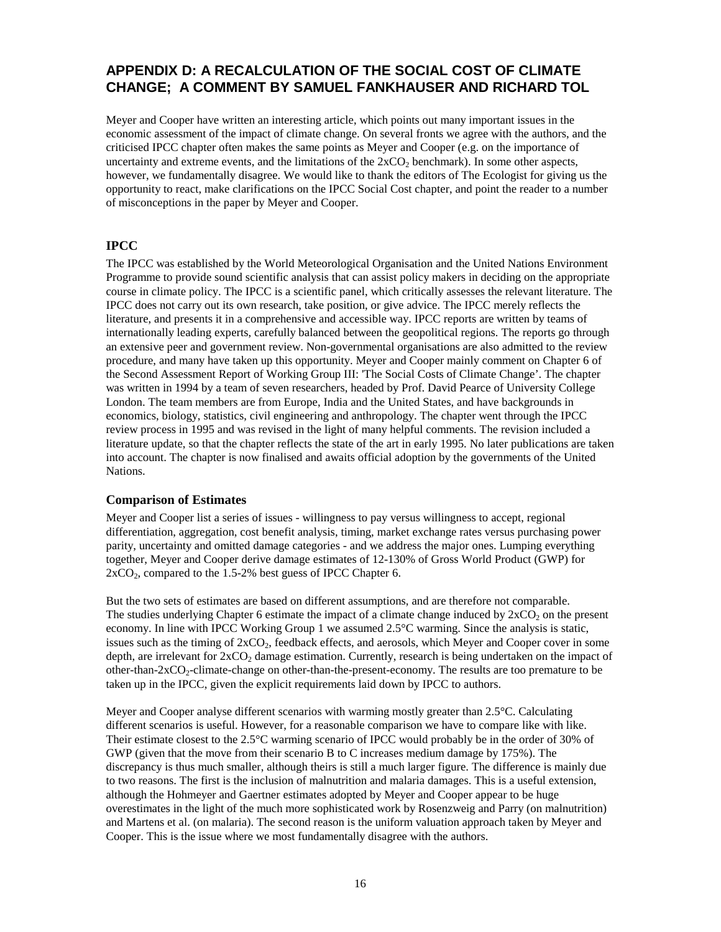## **APPENDIX D: A RECALCULATION OF THE SOCIAL COST OF CLIMATE CHANGE; A COMMENT BY SAMUEL FANKHAUSER AND RICHARD TOL**

Meyer and Cooper have written an interesting article, which points out many important issues in the economic assessment of the impact of climate change. On several fronts we agree with the authors, and the criticised IPCC chapter often makes the same points as Meyer and Cooper (e.g. on the importance of uncertainty and extreme events, and the limitations of the  $2xCO<sub>2</sub>$  benchmark). In some other aspects, however, we fundamentally disagree. We would like to thank the editors of The Ecologist for giving us the opportunity to react, make clarifications on the IPCC Social Cost chapter, and point the reader to a number of misconceptions in the paper by Meyer and Cooper.

#### **IPCC**

The IPCC was established by the World Meteorological Organisation and the United Nations Environment Programme to provide sound scientific analysis that can assist policy makers in deciding on the appropriate course in climate policy. The IPCC is a scientific panel, which critically assesses the relevant literature. The IPCC does not carry out its own research, take position, or give advice. The IPCC merely reflects the literature, and presents it in a comprehensive and accessible way. IPCC reports are written by teams of internationally leading experts, carefully balanced between the geopolitical regions. The reports go through an extensive peer and government review. Non-governmental organisations are also admitted to the review procedure, and many have taken up this opportunity. Meyer and Cooper mainly comment on Chapter 6 of the Second Assessment Report of Working Group III: 'The Social Costs of Climate Change'. The chapter was written in 1994 by a team of seven researchers, headed by Prof. David Pearce of University College London. The team members are from Europe, India and the United States, and have backgrounds in economics, biology, statistics, civil engineering and anthropology. The chapter went through the IPCC review process in 1995 and was revised in the light of many helpful comments. The revision included a literature update, so that the chapter reflects the state of the art in early 1995. No later publications are taken into account. The chapter is now finalised and awaits official adoption by the governments of the United Nations.

#### **Comparison of Estimates**

Meyer and Cooper list a series of issues - willingness to pay versus willingness to accept, regional differentiation, aggregation, cost benefit analysis, timing, market exchange rates versus purchasing power parity, uncertainty and omitted damage categories - and we address the major ones. Lumping everything together, Meyer and Cooper derive damage estimates of 12-130% of Gross World Product (GWP) for  $2xCO<sub>2</sub>$ , compared to the 1.5-2% best guess of IPCC Chapter 6.

But the two sets of estimates are based on different assumptions, and are therefore not comparable. The studies underlying Chapter 6 estimate the impact of a climate change induced by  $2xCO<sub>2</sub>$  on the present economy. In line with IPCC Working Group 1 we assumed 2.5°C warming. Since the analysis is static, issues such as the timing of  $2xCO<sub>2</sub>$ , feedback effects, and aerosols, which Meyer and Cooper cover in some depth, are irrelevant for  $2xCO<sub>2</sub>$  damage estimation. Currently, research is being undertaken on the impact of other-than-2xCO<sub>2</sub>-climate-change on other-than-the-present-economy. The results are too premature to be taken up in the IPCC, given the explicit requirements laid down by IPCC to authors.

Meyer and Cooper analyse different scenarios with warming mostly greater than 2.5°C. Calculating different scenarios is useful. However, for a reasonable comparison we have to compare like with like. Their estimate closest to the 2.5°C warming scenario of IPCC would probably be in the order of 30% of GWP (given that the move from their scenario B to C increases medium damage by 175%). The discrepancy is thus much smaller, although theirs is still a much larger figure. The difference is mainly due to two reasons. The first is the inclusion of malnutrition and malaria damages. This is a useful extension, although the Hohmeyer and Gaertner estimates adopted by Meyer and Cooper appear to be huge overestimates in the light of the much more sophisticated work by Rosenzweig and Parry (on malnutrition) and Martens et al. (on malaria). The second reason is the uniform valuation approach taken by Meyer and Cooper. This is the issue where we most fundamentally disagree with the authors.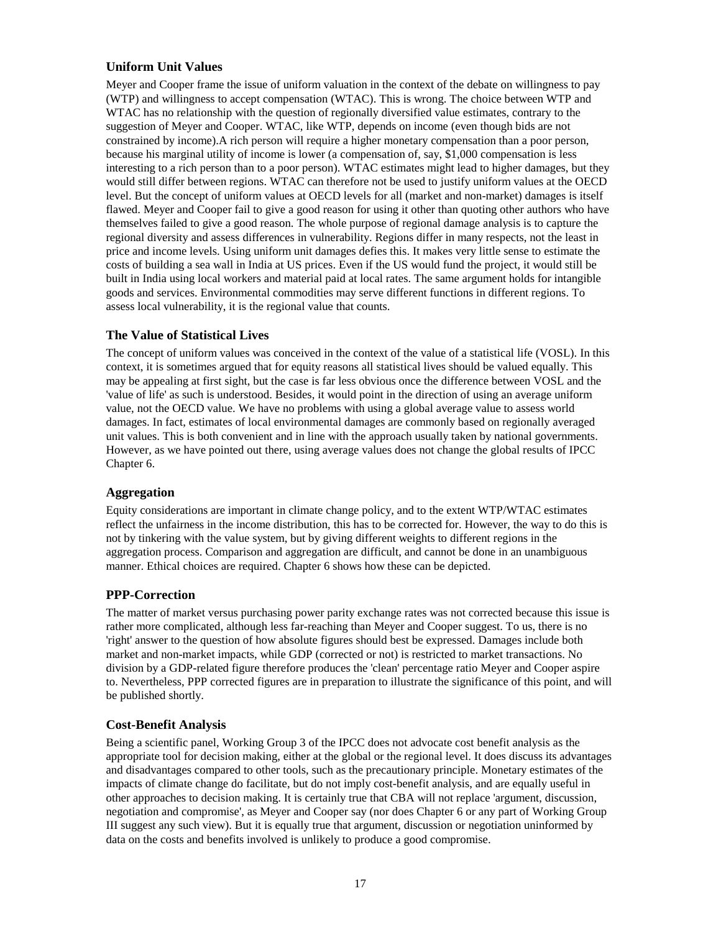#### **Uniform Unit Values**

Meyer and Cooper frame the issue of uniform valuation in the context of the debate on willingness to pay (WTP) and willingness to accept compensation (WTAC). This is wrong. The choice between WTP and WTAC has no relationship with the question of regionally diversified value estimates, contrary to the suggestion of Meyer and Cooper. WTAC, like WTP, depends on income (even though bids are not constrained by income).A rich person will require a higher monetary compensation than a poor person, because his marginal utility of income is lower (a compensation of, say, \$1,000 compensation is less interesting to a rich person than to a poor person). WTAC estimates might lead to higher damages, but they would still differ between regions. WTAC can therefore not be used to justify uniform values at the OECD level. But the concept of uniform values at OECD levels for all (market and non-market) damages is itself flawed. Meyer and Cooper fail to give a good reason for using it other than quoting other authors who have themselves failed to give a good reason. The whole purpose of regional damage analysis is to capture the regional diversity and assess differences in vulnerability. Regions differ in many respects, not the least in price and income levels. Using uniform unit damages defies this. It makes very little sense to estimate the costs of building a sea wall in India at US prices. Even if the US would fund the project, it would still be built in India using local workers and material paid at local rates. The same argument holds for intangible goods and services. Environmental commodities may serve different functions in different regions. To assess local vulnerability, it is the regional value that counts.

#### **The Value of Statistical Lives**

The concept of uniform values was conceived in the context of the value of a statistical life (VOSL). In this context, it is sometimes argued that for equity reasons all statistical lives should be valued equally. This may be appealing at first sight, but the case is far less obvious once the difference between VOSL and the 'value of life' as such is understood. Besides, it would point in the direction of using an average uniform value, not the OECD value. We have no problems with using a global average value to assess world damages. In fact, estimates of local environmental damages are commonly based on regionally averaged unit values. This is both convenient and in line with the approach usually taken by national governments. However, as we have pointed out there, using average values does not change the global results of IPCC Chapter 6.

#### **Aggregation**

Equity considerations are important in climate change policy, and to the extent WTP/WTAC estimates reflect the unfairness in the income distribution, this has to be corrected for. However, the way to do this is not by tinkering with the value system, but by giving different weights to different regions in the aggregation process. Comparison and aggregation are difficult, and cannot be done in an unambiguous manner. Ethical choices are required. Chapter 6 shows how these can be depicted.

### **PPP-Correction**

The matter of market versus purchasing power parity exchange rates was not corrected because this issue is rather more complicated, although less far-reaching than Meyer and Cooper suggest. To us, there is no 'right' answer to the question of how absolute figures should best be expressed. Damages include both market and non-market impacts, while GDP (corrected or not) is restricted to market transactions. No division by a GDP-related figure therefore produces the 'clean' percentage ratio Meyer and Cooper aspire to. Nevertheless, PPP corrected figures are in preparation to illustrate the significance of this point, and will be published shortly.

### **Cost-Benefit Analysis**

Being a scientific panel, Working Group 3 of the IPCC does not advocate cost benefit analysis as the appropriate tool for decision making, either at the global or the regional level. It does discuss its advantages and disadvantages compared to other tools, such as the precautionary principle. Monetary estimates of the impacts of climate change do facilitate, but do not imply cost-benefit analysis, and are equally useful in other approaches to decision making. It is certainly true that CBA will not replace 'argument, discussion, negotiation and compromise', as Meyer and Cooper say (nor does Chapter 6 or any part of Working Group III suggest any such view). But it is equally true that argument, discussion or negotiation uninformed by data on the costs and benefits involved is unlikely to produce a good compromise.